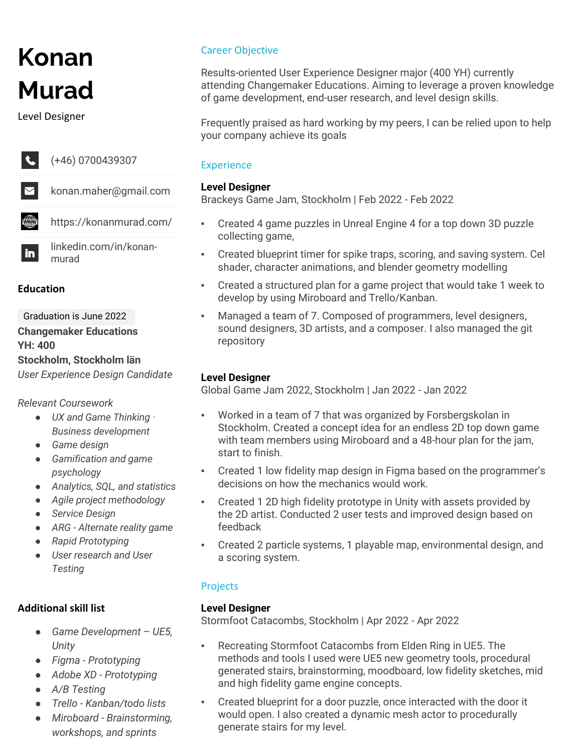# **Konan Murad**

Level Designer



(+46) 0700439307

 $\mathbf{in}$ 

konan.maher@gmail.com

₩ https://konanmurad.com/

> linkedin.com/in/konanmurad

#### **Education**

Graduation is June 2022 **Changemaker Educations YH: 400 Stockholm, Stockholm län** *User Experience Design Candidate*

*Relevant Coursework*

- *UX and Game Thinking · Business development*
- *Game design*
- *Gamification and game psychology*
- *Analytics, SQL, and statistics*
- *Agile project methodology*
- *Service Design*
- *ARG - Alternate reality game*
- *Rapid Prototyping*
- *User research and User Testing*

## **Additional skill list**

- *Game Development – UE5, Unity*
- *Figma - Prototyping*
- *Adobe XD - Prototyping*
- *A/B Testing*
- *Trello - Kanban/todo lists*
- *Miroboard - Brainstorming, workshops, and sprints*

## Career Objective

Results-oriented User Experience Designer major (400 YH) currently attending Changemaker Educations. Aiming to leverage a proven knowledge of game development, end-user research, and level design skills.

Frequently praised as hard working by my peers, I can be relied upon to help your company achieve its goals

## **Experience**

## **Level Designer**

Brackeys Game Jam, Stockholm | Feb 2022 - Feb 2022

- Created 4 game puzzles in Unreal Engine 4 for a top down 3D puzzle collecting game,
- Created blueprint timer for spike traps, scoring, and saving system. Cel shader, character animations, and blender geometry modelling
- Created a structured plan for a game project that would take 1 week to develop by using Miroboard and Trello/Kanban.
- Managed a team of 7. Composed of programmers, level designers, sound designers, 3D artists, and a composer. I also managed the git repository

## **Level Designer**

Global Game Jam 2022, Stockholm | Jan 2022 - Jan 2022

- Worked in a team of 7 that was organized by Forsbergskolan in Stockholm. Created a concept idea for an endless 2D top down game with team members using Miroboard and a 48-hour plan for the jam, start to finish.
- Created 1 low fidelity map design in Figma based on the programmer's decisions on how the mechanics would work.
- Created 1 2D high fidelity prototype in Unity with assets provided by the 2D artist. Conducted 2 user tests and improved design based on feedback
- Created 2 particle systems, 1 playable map, environmental design, and a scoring system.

## Projects

#### **Level Designer**

Stormfoot Catacombs, Stockholm | Apr 2022 - Apr 2022

- Recreating Stormfoot Catacombs from Elden Ring in UE5. The methods and tools I used were UE5 new geometry tools, procedural generated stairs, brainstorming, moodboard, low fidelity sketches, mid and high fidelity game engine concepts.
- Created blueprint for a door puzzle, once interacted with the door it would open. I also created a dynamic mesh actor to procedurally generate stairs for my level.